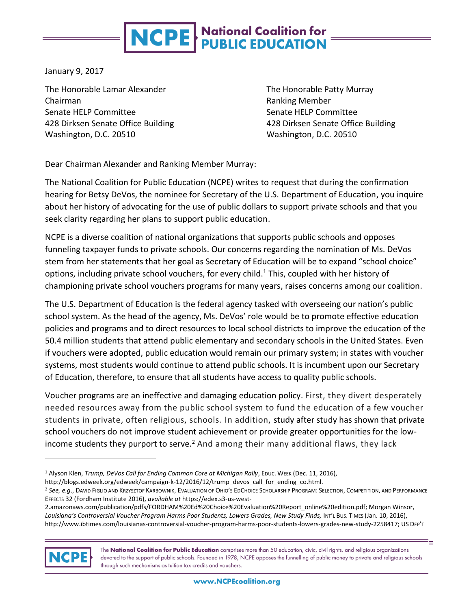## **NCPE** National Coalition for

January 9, 2017

The Honorable Lamar Alexander The Honorable Patty Murray Chairman **Chairman** Ranking Member Senate HELP Committee Senate HELP Committee Senate HELP Committee Washington, D.C. 20510 Washington, D.C. 20510

428 Dirksen Senate Office Building 428 Dirksen Senate Office Building

Dear Chairman Alexander and Ranking Member Murray:

The National Coalition for Public Education (NCPE) writes to request that during the confirmation hearing for Betsy DeVos, the nominee for Secretary of the U.S. Department of Education, you inquire about her history of advocating for the use of public dollars to support private schools and that you seek clarity regarding her plans to support public education.

NCPE is a diverse coalition of national organizations that supports public schools and opposes funneling taxpayer funds to private schools. Our concerns regarding the nomination of Ms. DeVos stem from her statements that her goal as Secretary of Education will be to expand "school choice" options, including private school vouchers, for every child.<sup>1</sup> This, coupled with her history of championing private school vouchers programs for many years, raises concerns among our coalition.

The U.S. Department of Education is the federal agency tasked with overseeing our nation's public school system. As the head of the agency, Ms. DeVos' role would be to promote effective education policies and programs and to direct resources to local school districts to improve the education of the 50.4 million students that attend public elementary and secondary schools in the United States. Even if vouchers were adopted, public education would remain our primary system; in states with voucher systems, most students would continue to attend public schools. It is incumbent upon our Secretary of Education, therefore, to ensure that all students have access to quality public schools.

Voucher programs are an ineffective and damaging education policy. First, they divert desperately needed resources away from the public school system to fund the education of a few voucher students in private, often religious, schools. In addition, study after study has shown that private school vouchers do not improve student achievement or provide greater opportunities for the lowincome students they purport to serve.<sup>2</sup> And among their many additional flaws, they lack

<sup>2.</sup>amazonaws.com/publication/pdfs/FORDHAM%20Ed%20Choice%20Evaluation%20Report\_online%20edition.pdf; Morgan Winsor, *Louisiana's Controversial Voucher Program Harms Poor Students, Lowers Grades, New Study Finds,* INT'L BUS. TIMES (Jan. 10, 2016), http://www.ibtimes.com/louisianas-controversial-voucher-program-harms-poor-students-lowers-grades-new-study-2258417; US DEP'T



 $\overline{a}$ 

The National Coalition for Public Education comprises more than 50 education, civic, civil rights, and religious organizations devoted to the support of public schools. Founded in 1978, NCPE opposes the funnelling of public money to private and religious schools through such mechanisms as tuition tax credits and vouchers.

<sup>&</sup>lt;sup>1</sup> Alyson Klen, *Trump, DeVos Call for Ending Common Core at Michigan Rally*, Educ. WEEK (Dec. 11, 2016),

http://blogs.edweek.org/edweek/campaign-k-12/2016/12/trump\_devos\_call\_for\_ending\_co.html.

<sup>2</sup> *See, e.g*., DAVID FIGLIO AND KRZYSZTOF KARBOWNIK, EVALUATION OF OHIO'S EDCHOICE SCHOLARSHIP PROGRAM: SELECTION, COMPETITION, AND PERFORMANCE EFFECTS 32 (Fordham Institute 2016), *available at* https://edex.s3-us-west-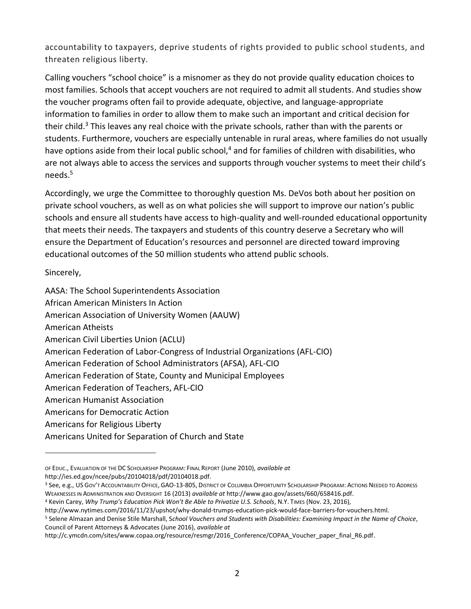accountability to taxpayers, deprive students of rights provided to public school students, and threaten religious liberty.

Calling vouchers "school choice" is a misnomer as they do not provide quality education choices to most families. Schools that accept vouchers are not required to admit all students. And studies show the voucher programs often fail to provide adequate, objective, and language-appropriate information to families in order to allow them to make such an important and critical decision for their child.<sup>3</sup> This leaves any real choice with the private schools, rather than with the parents or students. Furthermore, vouchers are especially untenable in rural areas, where families do not usually have options aside from their local public school,<sup>4</sup> and for families of children with disabilities. who are not always able to access the services and supports through voucher systems to meet their child's needs.<sup>5</sup>

Accordingly, we urge the Committee to thoroughly question Ms. DeVos both about her position on private school vouchers, as well as on what policies she will support to improve our nation's public schools and ensure all students have access to high-quality and well-rounded educational opportunity that meets their needs. The taxpayers and students of this country deserve a Secretary who will ensure the Department of Education's resources and personnel are directed toward improving educational outcomes of the 50 million students who attend public schools.

Sincerely,

l

AASA: The School Superintendents Association African American Ministers In Action American Association of University Women (AAUW) American Atheists American Civil Liberties Union (ACLU) American Federation of Labor-Congress of Industrial Organizations (AFL-CIO) American Federation of School Administrators (AFSA), AFL-CIO American Federation of State, County and Municipal Employees American Federation of Teachers, AFL-CIO American Humanist Association Americans for Democratic Action Americans for Religious Liberty Americans United for Separation of Church and State

OF EDUC., EVALUATION OF THE DC SCHOLARSHIP PROGRAM: FINAL REPORT (June 2010), *available at*  http://ies.ed.gov/ncee/pubs/20104018/pdf/20104018.pdf.

<sup>3</sup> See, e.g., US GOV'T ACCOUNTABILITY OFFICE, GAO-13-805, DISTRICT OF COLUMBIA OPPORTUNITY SCHOLARSHIP PROGRAM: ACTIONS NEEDED TO ADDRESS WEAKNESSES IN ADMINISTRATION AND OVERSIGHT 16 (2013) *available at* http://www.gao.gov/assets/660/658416.pdf.

<sup>4</sup> Kevin Carey, *Why Trump's Education Pick Won't Be Able to Privatize U.S. Schools*, N.Y. TIMES (Nov. 23, 2016),

http://www.nytimes.com/2016/11/23/upshot/why-donald-trumps-education-pick-would-face-barriers-for-vouchers.html.

<sup>5</sup> Selene Almazan and Denise Stile Marshall, S*chool Vouchers and Students with Disabilities: Examining Impact in the Name of Choice*, Council of Parent Attorneys & Advocates (June 2016), *available at*

http://c.ymcdn.com/sites/www.copaa.org/resource/resmgr/2016\_Conference/COPAA\_Voucher\_paper\_final\_R6.pdf.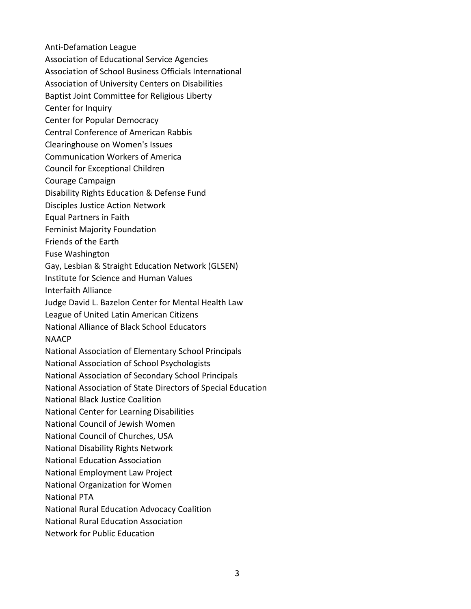- Anti-Defamation League
- Association of Educational Service Agencies
- Association of School Business Officials International
- Association of University Centers on Disabilities
- Baptist Joint Committee for Religious Liberty
- Center for Inquiry
- Center for Popular Democracy
- Central Conference of American Rabbis
- Clearinghouse on Women's Issues
- Communication Workers of America
- Council for Exceptional Children
- Courage Campaign
- Disability Rights Education & Defense Fund
- Disciples Justice Action Network
- Equal Partners in Faith
- Feminist Majority Foundation
- Friends of the Earth
- Fuse Washington
- Gay, Lesbian & Straight Education Network (GLSEN)
- Institute for Science and Human Values
- Interfaith Alliance
- Judge David L. Bazelon Center for Mental Health Law
- League of United Latin American Citizens
- National Alliance of Black School Educators
- **NAACP**
- National Association of Elementary School Principals
- National Association of School Psychologists
- National Association of Secondary School Principals
- National Association of State Directors of Special Education
- National Black Justice Coalition
- National Center for Learning Disabilities
- National Council of Jewish Women
- National Council of Churches, USA
- National Disability Rights Network
- National Education Association
- National Employment Law Project
- National Organization for Women
- National PTA
- National Rural Education Advocacy Coalition
- National Rural Education Association
- Network for Public Education